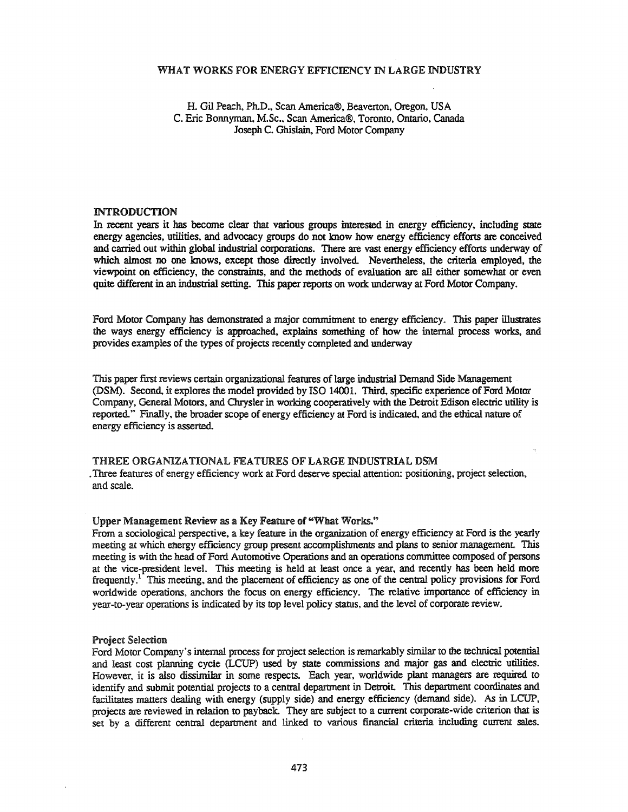#### WHAT WORKS FOR ENERGY EFFICIENCY IN LARGE INDUSTRY

H. Gil Peach, Ph.D., Scan America®, Beaverton, Oregon. USA C. Eric Bonnyman, M.Sc., Scan America®, Toronto, Ontario, Canada Joseph C. Ghislain, Ford Motor Company

### INTRODUCTION

In recent years it has become clear that various groups interested in energy efficiency, including state energy agencies, utilities, and advocacy groups do not know how energy efficiency efforts are conceived and carried out within global industrial corporations. There are vast energy efficiency efforts underway of which almost no one knows, except those directly involved. Nevertheless, the criteria employed, the viewpoint on efficiency, the constraints, and the methods of evaluation are all either somewhat or even quite different in an industrial setting. This paper reports on work underway at Ford Motor Company.

Ford Motor Company has demonstrated a major commitment to energy efficiency. This paper illustrates the ways energy efficiency is approached, explains something of how the internal process works, and provides examples of the types of projects recently completed and underway

This paper first reviews certain organizational features of large industrial Demand Side Management (DSM). Second, it explores the model provided by ISO 14001. Third, specific experience of Ford Motor Company, General Motors, and Chrysler in working cooperatively with the Detroit Edison electric utility is reported" Fmally, the broader scope of energy efficiency at Ford is indicated, and the ethical nature of energy efficiency is asserted

THREE ORGANIZATIONAL FEATURES OF LARGE INDUSTRIAL DSM .Three features of energy efficiency work at Ford deserve special attention: positioning, project selection, and scale.

### Upper Management Review as a Key Feature of "What Works."

From a sociological perspective, a key feature in the organization of energy efficiency at Ford is the yearly meeting at which energy efficiency group present accomplishments and plans to senior management This meeting is with the head of Ford Automotive Operations and an operations committee composed of persons at the vice-president level. This meeting is held at least once a year, and recently has been held more frequently.<sup>1</sup> This meeting, and the placement of efficiency as one of the central policy provisions for Ford worldwide operations, anchors the focus on energy efficiency. The relative importance of efficiency in year-to-year operations is indicated by its top level policy status, and the level of corporate review.

#### Project Selection

Ford Motor Company's internal process for project selection is remarkably similar to the technical potential and least cost planning cycle (LCUP) used by state commissions and major gas and electric utilities. However, it is also dissimilar in some respects. Each year, worldwide plant managers are required to identify and submit potential projects to a central department in Detroit. This department coordinates and facilitates matters dealing with energy (supply side) and energy efficiency (demand side). As in LCUP, projects are reviewed in relation to payback. They are subject to a current corporate-wide criterion that is set by a different central department and linked to various financial criteria including cmrent sales.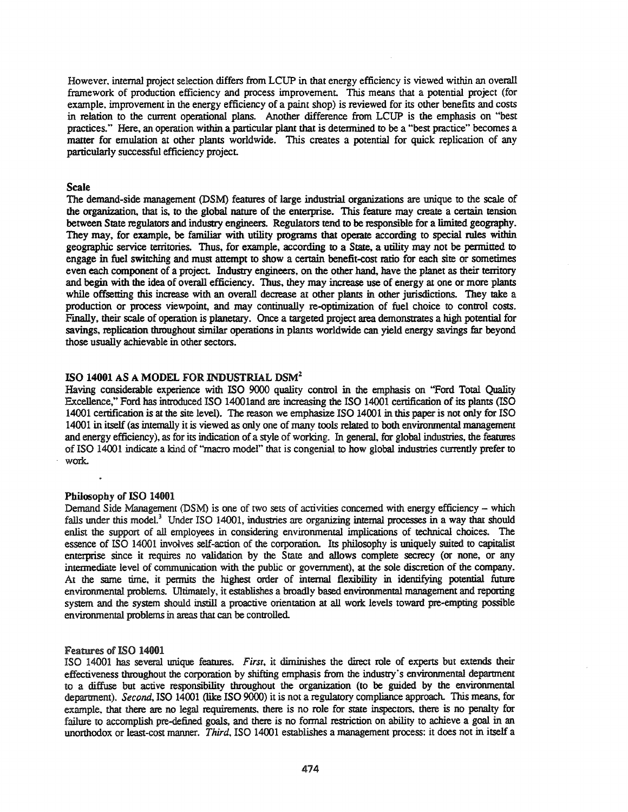However. internal project selection differs from LCUP in that energy efficiency is viewed within an overall framework of production efficiency and process improvement. This means that a potential project (for example, improvement in the energy efficiency of a paint shop) is reviewed for its other benefits and costs in relation to the current operational plans. Another difference from LCUP is the emphasis on "best practices." Here, an operation within a particular plant that is detennined to be a "best practice" becomes a matter for emulation at other plants worldwide. This creates a potential for quick replication of any particularly successful efficiency project

#### Scale

The demand-side management (DSM) features of large industrial organizations are unique to the scale of the organization. that is, to the global nature of the enterprise. This feature may create a certain tension between State regulators and industry engineers. Regulators tend to be responsible for a limited geography. They may, for example, be familiar with utility programs that operate according to special rules within geographic service territories. Thus, for example, according to a State, a utility may not be pennitted to engage in fuel switching and must attempt to show a certain benefit-cost ratio for each site or sometimes even each component of a project. Industry engineers. on the other hand. have the planet as their temtory and begin with the idea of overall efficiency. Thus, they may increase use of energy at one or more plants while offsetting this increase with an overall decrease at other plants in other jurisdictions. They take a production or process viewpoint, and may continually re-optimization of fuel choice to control costs. Fmally. their scale of operation is planetary. Once a targeted project area demonstrates a high potential for savings. replication throughout similar operations in plants worldwide can yield energy savings far beyond those usually achievable in other sectors.

### ISO 14001 AS A MODEL FOR INDUSTRIAL DSM<sup>2</sup>

Having considerable experience with ISO 9000 quality control in the emphasis on "Ford Total Quality Excellence," Ford has introduced ISO 1400iand are increasing the ISO 14001 certification of its plants (ISO 14001 certification is at the site level). The reason we emphasize ISO 14001 in this paper is not only for ISO 14001 in itself (as internally it is viewed as only one of many tools related to both environmental management and energy efficiency), as for its indication of a style of working. In general. for global industries, the features of ISO 14001 indicate a kind of "macro model" that is congenial to how global industries currently prefer to work.

# Philosophy of ISO 14001

Demand Side Management (DSM) is one of two sets of activities concerned with energy efficiency - which falls under this model.<sup>3</sup> Under ISO 14001, industries are organizing internal processes in a way that should enlist the support of all employees in considering environmental implications of technical choices. The essence of ISO 14001 involves self-action of the corporation. Its philosophy is uniquely suited to capitalist enterprise since it requires no validation by the State and allows complete secrecy (or none. or any intennediate level of communication with the public or government). at the sole discretion of the company. At the same time, it permits the highest order of internal flexibility in identifying potential future environmental problems. Ultimately, it establishes a broadly based environmental management and reporting system and the system should instill a proactive orientation at all work levels toward pre-empting possible environmental problems in areas that can be controlled.

#### Features of ISO 14001

ISO 14001 has several unique features. *First,* it diminishes the direct role of experts but extends their effectiveness throughout the corporation by shifting emphasis from the industry's environmental department to a diffuse but active responsibility throughout the organization (to be guided by the environmental department). *Second.* ISO 14001 (like ISO 9000) it is not a regulatory compliance approach. This means. for example, that there are no legal requirements. there is no role for state inspectors. there is no penalty for failure to accomplish pre-defined goals. and there is no fonnal restriction on ability to achieve a goal in an unorthodox or least-cost manner. *Third,* ISO 14001 establishes a management process: it does not in itself a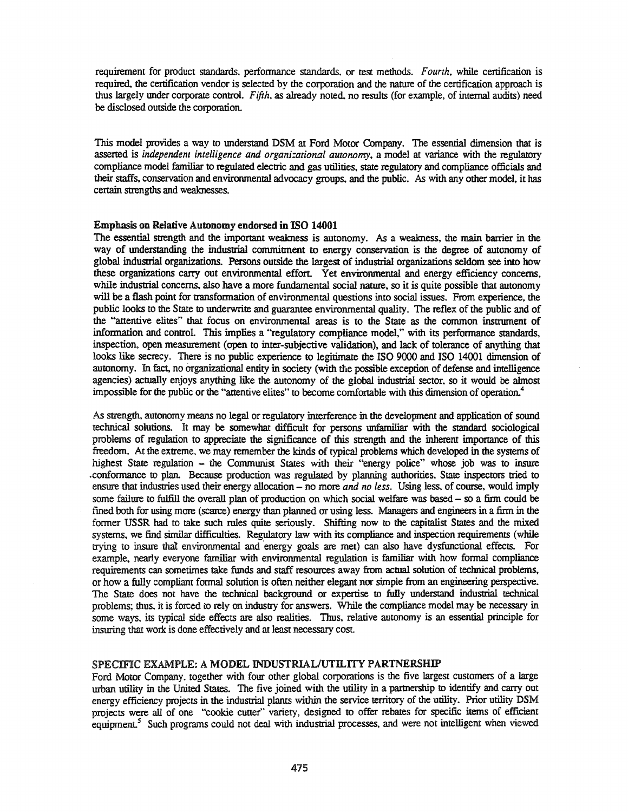requirement for product standards, performance standards, or test methods. Fourth, while certification is required. the certification vendor is selected by the corporation and the nature of the certification approach is thus largely under corporate control. *Fifth.* as already noted. no results (for example. of internal audits) need be disclosed outside the corporation.

This model provides a way to understand DSM at Ford Motor Company. The essential dimension that is asserted is *independent intelligence and organi=ational autonomy.* a model at variance with the regulatory compliance model familiar to regulated electric and gas utilities. state regulatory and compliance officials and their staffs. conservation and environmental advocacy groups. and the public. *As* with any other model, it has certain strengths and weaknesses.

### Emphasis on Relative Autonomy endorsed inISO 14001

The essential strength and the important weakness is autonomy. As a weakness, the main barrier in the way of understanding the industrial commitment to energy conservation is the degree of autonomy of global industrial organizations. Persons outside the largest of industrial organizations seldom see into how these organizations carry out environmental effort. Yet environmental and energy efficiency concerns. while industrial concerns, also have a more fundamental social nature, so it is quite possible that autonomy will be a flash point for transformation of environmental questions into social issues. From experience, the public looks to the State to underwrite and guarantee environmental quality. The reflex of the public and of the "attentive elites" that focus on environmental areas is to the State as the common instrmnent of information and control. This implies a "regulatory compliance model:' with its performance standards, inspection, open measurement (open to inter-subjective validation), and lack of tolerance of anything that looks like secrecy. There is no public experience to legitimate the ISO 9000 and ISO 14001 dimension of autonomy. In fact, no organizational entity in society (with the possible exception of defense and intelligence agencies) actually enjoys anything like the autonomy of the global industrial sector. so it would be almost impossible for the public or the "attentive elites" to become comfortable with this dimension of operation.<sup>4</sup>

*As* strength, autonomy means no legal or regulatory interference in the development and application of sound technical solutions. It may be somewhat difficult for persons unfamiliar with the standard sociological problems of regulation to appreciate the significance of this strength and the inherent importance of this freedom. At the extreme. we may remember the kinds of typical problems which developed in the systems of highest State regulation - the Communist States with their "energy police" whose job was to insure .conformance to plan. Because production was regulated by planning authorities, State inspectors tried to ensure that industries used their energy allocation - no more *and no less.* Using less, of course. would imply some failure to fulfill the overall plan of production on which social welfare was based – so a firm could be fined both for using more (scarce) energy than planned or using less. Managers and engineers in a fum in the former USSR had to take such rules quite seriously. Shifting now to the capitalist States and the mixed systems, we find similar difficulties. Regulatory law with its compliance and inspection requirements (while trying to insure that environmental and energy goals are met) can also have dysfunctional effects. For example. nearly everyone familiar with environmental regulation is familiar with how fonnal compliance requirements can sometimes take funds and staff resources away from actual solution of technical problems, or how a fully compliant formal solution is often neither elegant nor simple from an engineering perspective. The State does not have the technical background or expertise to fully understand industrial technical problems; thus, it is forced to rely on industry for answers. While the compliance model may be necessary in some ways, its typical side effects are also realities. Thus, relative autonomy is an essential principle for insuring that work is done effectively and at least necessary cost.

# SPECIFIC EXAMPLE: A MODEL INDUSTRIAL/UTILITY PARTNERSHIP

Ford Motor Company, together with four other global corporations is the five largest customers of a large urban utility in the United States. The five joined with the utility in a parmership to identify and carry out energy efficiency projects in the industrial plants within the service territory of the utility. Prior utility DSM projects were all of one "cookie cutter" variety, designed to offer rebates for specific items of efficient equipment.<sup>5</sup> Such programs could not deal with industrial processes, and were not intelligent when viewed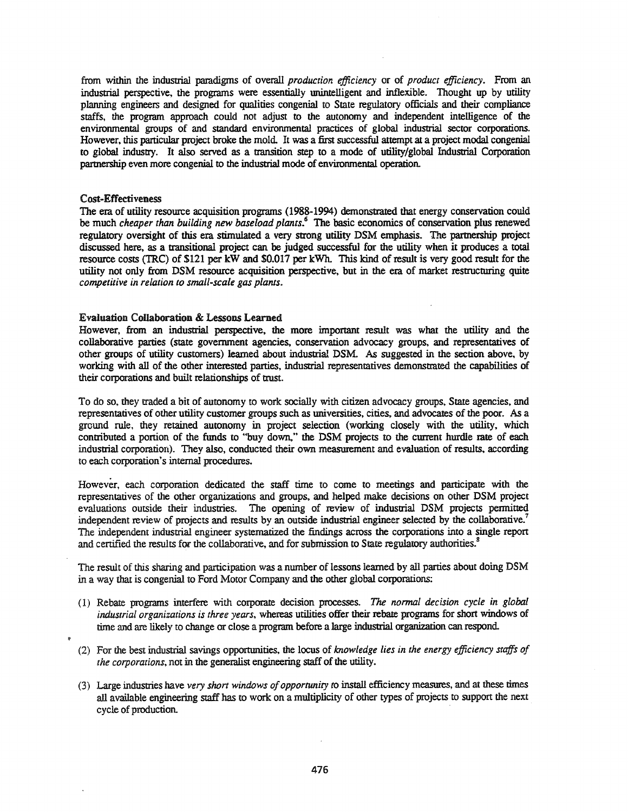from within the industrial paradigms of overall *production efficiency* or of *product efficiency.* From an industrial perspective, the programs were essentially unintelligent and inflexible. Thought up by utility planning engineers and designed for qualities congenial to State regulatory officials and their compliance staffs, the program approach could not adjust to the autonomy and independent intelligence of the environmental groups of and standard environmental practices of global industrial sector corporations. However, this particular project broke the mold. It was a first successful attempt at a project modal congenial to global industry. It also served as a transition step to a mode of utility/global Industrial Corporation partnership even more congenial to the industrial mode of environmental operation.

### Cost-Effectiveness

The era of utility resource acquisition programs (1988-1994) demonstrated that energy conservation could be much *cheaper than building new baseload plants.<sup>6</sup>* The basic economics of conservation plus renewed regulatory oversight of this era stimulated a very strong utility DSM emphasis. The partnership project discussed here, as a transitional project can be judged successful for the utility when it produces a total resource costs ('IRe) of \$121 per kW and \$0.017 per kWh. This kind of result is very good result for the utility not only from DSM resource acquisition perspective, but in the era of market restructuring quite *competitive in relation to small-scale gas plants.*

### Evaluation Collaboration & Lessons Learned

However, from an industrial perspective, the more important result was what the utility and the collaborative parties (state government agencies, conservation advocacy groups, and representatives of other groups of utility customers) learned about industrial DSM. As suggested in the section above, by working with all of the other interested parties, industrial representatives demonstrated the capabilities of their corporations and built relationships of trust.

To do so, they traded a bit of autonomy to work socially with citizen advocacy groups, State agencies, and representatives of other utility customer groups such as universities, cities, and advocates of the poor. As a ground rule, they retained autonomy in project selection (working closely with the utility, which contributed a portion of the funds to "buy down," the DSM projects to the current hurdle rate of each industrial corporation). They also, conducted their own measurement and evaluation of results, according to each corporation's internal procedures.

However, each corporation dedicated the staff time to come to meetings and participate with the representatives of the other organizations and groups, and helped make decisions on other DSM project evaluations outside their industries. The opening of review of industrial DSM projects permitted independent review of projects and results by an outside industrial engineer selected by the collaborative.<sup>7</sup> The independem industrial engineer systematized the findings across the corporations into a single report and certified the results for the collaborative, and for submission to State regulatory authorities.<sup>8</sup>

The result of this sharing and participation was a number of lessons learned by all parties about doing DSM in a way that is congenial to Ford Motor Company and the other global corporations:

- (1) Rebate programs interfere with corporate decision processes. *The normal decision cycle in global industrial organizations is three years,* whereas utilities offer their rebate programs for short windows of time and are likely to change or close a program before a large industrial organization can respond.
- (2) For the best industrial savings opportunities, the locus of *knowledge lies in the energy efficiency staffs of the corporations,* not in the generalist engineering staff of the utility.
- (3) Large industries have *very short windows ofopportunity to* install efficiency measures, and at these times all available engineering staff has to work on a multiplicity of other types of projects to support the next cycle of production.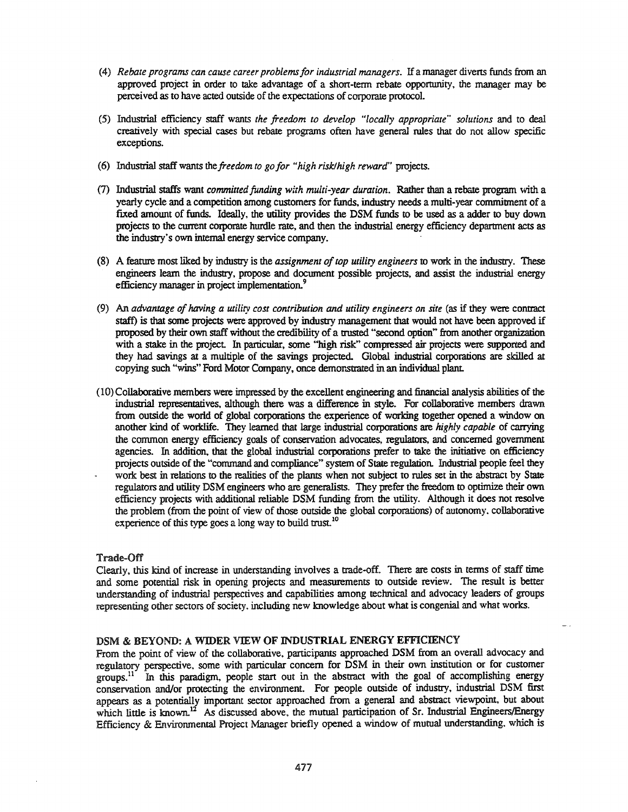- *(4) Rebate programs can cause career problemsfor industrial managers.* Ifa manager divens fimds from an approved project in order to take advantage of a shan-term rebate oppornmity, the manager may be perceived as to have acted outside of the expectations of corporate protocol.
- (5) Industrial efficiency staff wants *the freedom to develop "locally appropriate" solutions* and to deal creatively with special cases but rebate programs often have general rules that do not allow specific exceptions.
- (6) Industrial staff wants the *freedom to go for "high risk!high reward"* projects.
- (7) Industrial staffs want *committed funding with multi-year duration.* Rather than a rebate program with a yearly cycle and a competition among customers for funds, industry needs a multi-year commitment of a fixed amount of ftmds. Ideally, the utility provides the DSM ftmds to be used as a adder to buy down projects to the current corporate hurdle rate, and then the industrial energy efficiency department acts as the industry's own internal energy service company.
- (8) A feature most liked by industry is the *assignment oftop utility engineers* to work in the industry. These engineers learn the industry, propose and document possible projects, and assist the industrial energy efficiency manager in project implementation.<sup>9</sup>
- (9) An *advantage ofhaving a utility cost contribution and utility engineers on site* (as if they were coruract staff) is that some projects were approved by industry management that would not have been approved if proposed by their own staff without the credibility of a trusted "second option" from another organization with a stake in the project. In particular, some "high risk" compressed air projects were supported and they had savings at a multiple of the savings projected. Global industrial corporations are skilled at copying such "wins" Ford Motor Company, once demorstrated in an individual plant.
- (10)Collaborative members were impressed by the excellent engineering and financial analysis abilities of the industrial representatives, although there was a difference in style. For collaborative members drawn from outside the world of global corporations the experience of working together opened a window on another kind of worklife. They learned that large industrial corporations are *highly capable* of carrying the common energy efficiency goals of conservation advocates, regulators, and concerned government agencies. In addition. that the global industrial corporations prefer to take the initiative on efficiency projects outside of the "command and compliance" system of Stale regulation. Industrial people feel they work best in relations to the realities of the plants when not subject to rules set in the abstract by State regulators and utility DSM engineers who are generalists. They prefer the freedom to optimize their own efficiency projects with additional reliable DSM ftmding from the utility. Although it does not resolve the problem (from the point of view of those outside the global corporations) of autonomy. collaborative experience of this type goes a long way to build trust.<sup>10</sup>

# Trade-Off

Clearly, this kind of increase in understanding involves a trade-off. There are costs in tenns of staff time and some potential risk in opening projects and measurements to outside review. The result is better understanding of industrial perspectives and capabilities among technical and advocacy leaders of groups representing other sectors of society, including new knowledge about what is congenial and what works.

### DSM & BEYOND: A WIDER VIEW OF INDUSTRIAL ENERGY EFFICIENCY

From the point of view of the collaborative, participants approached DSM from an overall advocacy and regulatory perspective. some with particular concern for DSM in their own institution or for customer groups.<sup>11</sup> In this paradigm, people start out in the abstract with the goal of accomplishing energy conservation and/or protecting the environment. For people outside of industry, industrial DSM first appears as a potentially important sector approached from a general and abstract viewpoint, but about which little is known.<sup>12</sup> As discussed above, the mutual participation of Sr. Industrial Engineers/Energy Efficiency & Environmental Project Manager briefly opened a window of mutual understanding. which is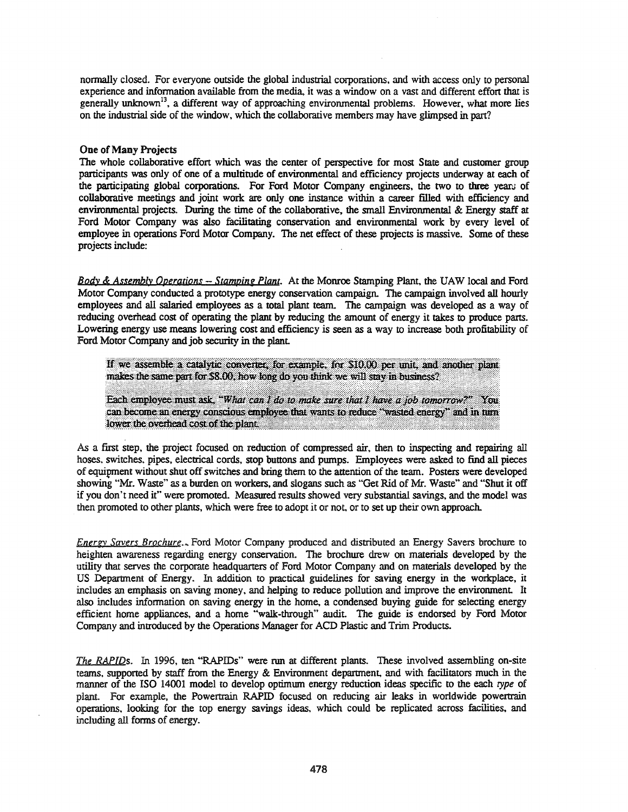normally closed. For everyone outside the global industrial corporations, and with access only to personal experience and information available from the media, it was a window on a vast and different effort that is generally unknown<sup>13</sup>, a different way of approaching environmental problems. However, what more lies on the industrial side of the window, which the collaborative members may have glimpsed in part?

### One of Many Projects

The whole collaborative effort which was the center of perspective for most State and customer group participants was only of one of a multitude of environmental and efficiency projects underway at each of the participating global corporations. For Ford Motor Company engineers, the two to three years of collaborative meetings and joint work are only one instance within a career filled with efficiency and environmental projects. During the time of the collaborative. the small Environmental & Energy staff at Ford Motor Company was also facilitating conservation and environmental work by every level of employee in operations Ford Motor Company. The net effect of these projects is massive. Some of these projects include:

*Body* & *Assembly Operations Stamping Plant.* At the Monroe Stamping Plant. the UAW local and Ford Motor Company conducted a prototype energy conservation campaign. The campaign involved all hourly employees and all salaried employees as a total plant team. The campaign was developed as a way of reducing overhead cost of operating the plant by reducing the amount of energy it takes to produce pans. Lowering energy use means lowering cost and efficiency is seen as a way to increase both profitability of Ford Motor Company and job security in the plant.

If we assemble a catalytic converter, for example, for \$10.00 per unit, and another plant makes the same part for \$8.00, how long do you think we will stay in business?

Each employee must ask, "What can I do to make sure that I have a job tomorrow?" You<br>can become an energy conscious employee that wants to reduce "wasted energy" and in turn lower the overhead cost of the plant.

As a first step. the project focused on reduction of compressed air. then to inspecting and repairing all hoses, switches. pipes. electrical cords. stop buttons and pumps. Employees were asked to find all pieces of equipment without shut off switches and bring them to the attention of the team. Posters were developed showing "Mr. Waste" as a burden on workers, and slogans such as "Get Rid of Mr. Waste" and "Shut it off if you don't need it" were promoted. Measured results showed very substantial savings. and the model was then promoted to other plants. which were free to adopt it or not, or to set up their own approach.

*Energy Savers Brochure.*.. Ford Motor Company produced and distributed an Energy Savers brochure to heighten awareness regarding energy conservation. The brochure drew on materials developed by the utility that serves the corporate headquarters of Ford Motor Company and on materials developed by the US Department of Energy. In addition to practical guidelines for saving energy in the workplace, it includes an emphasis on saving money, and helping to reduce pollution and improve the environment. It also includes information on saving energy in the home. a condensed buying guide for selecting energy efficient home appliances. and a home "walk-through" audit. The guide is endorsed by Ford Motor Company and introduced by the Operations Manager for ACD Plastic and Trim Products.

The RAPIDs. In 1996, ten "RAPIDs" were run at different plants. These involved assembling on-site teams, supported by staff from the Energy & Environment department, and with facilitators much in the manner of the ISO 14001 model to develop optimum energy reduction ideas specific to the each *type* of plant. For example. the Powertrain RAPID focused on reducing air leaks in worldwide powertrain operations. looking for the top energy savings ideas. which could be replicated across facilities. and including all forms of energy.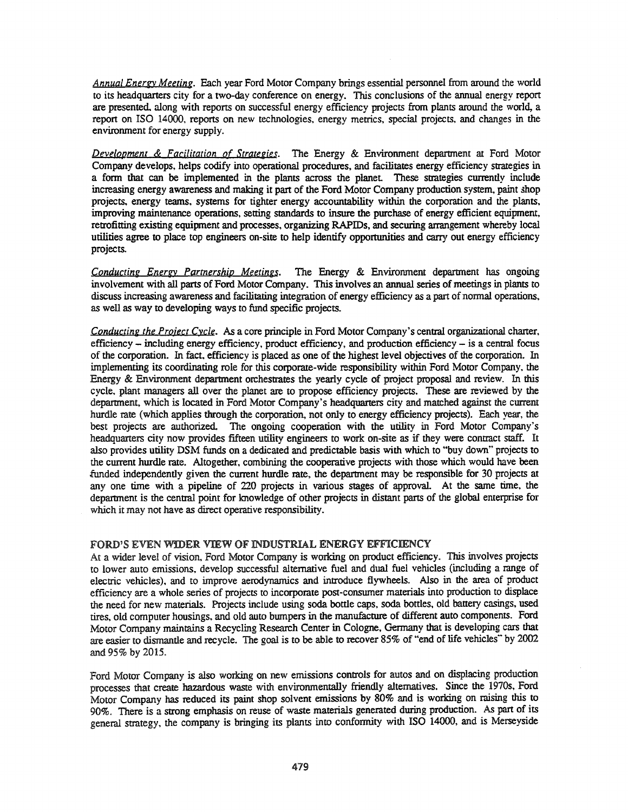**Annual Energy Meeting.** Each year Ford Motor Company brings essential personnel from around the world to its headquarters city for a two-day conference on energy. This conclusions of the annual energy report are presented, along with reports on successful energy efficiency projects from plants around the world, a repon on ISO 14000. reports on new technologies. energy metrics. special projects. and changes in the environment for energy supply.

*DevelOPment* & *Facilitation Qf Strategies.* The Energy & Environment department at Ford Motor Company develops. helps codify into operational procedures, and facilitates energy efficiency strategies in a form that can be implemented in the plants across the planet These strategies currently include increasing energy awareness and making it part of the Ford Motor Company production system, paint shop projects. energy teams, systems for tighter energy accountability within the corporation and the plants. improving maintenance operations. setting standards to insure the purchase of energy efficient equipment. retrofitting existing equipment and processes, organizing RAPIDs, and securing arrangement whereby local utilities agree to place top engineers on-site to help identify opportunities and carry out energy efficiency projects.

*Conducting Energy Partnership Meetings*. The Energy & Environment department has ongoing involvement with all parts of Ford Motor Company. This involves an annual series of meetings in plants to discuss increasing awareness and facilitating integration of energy efficiency as a part of normal operations, as well as way to developing ways to fund specific projects.

*Conducting the Project Cycle.* As a core principle in Ford Motor Company's central organizational charter, efficiency - including energy efficiency. product efficiency, and production efficiency - is a central focus of the corporation. In fact. efficiency is placed as one of the highest level objectives of the corporation. In implementing its coordinating role for this corporate-wide responsibility within Ford Motor Company. the Energy & Environment department orchestrates the yearly cycle of project proposal and review. In this cycle. plant managers all over the planet are to propose efficiency projects. These are reviewed by the department, which is located in Ford Motor Company's headquarters city and matched against the current hurdle rate (which applies through the corporation, not only to energy efficiency projects). Each year, the best projects are authorized. The ongoing cooperation with the utility in Ford Motor Company's headquarters city now provides fifteen utility engineers to work on-site as if they were contract staff. It also provides utility DSM funds on a dedicated and predictable basis with which to "buy down" projects to the current hurdle rate. Altogether. combining the cooperative projects with those which would have been funded independently given the current hurdle rate, the depanment may be responsible for 30 projects at anyone time with a pipeline of 220 projects in various stages of approval. At the same time. the department is the central point for lmowledge of other projects in distant pans of the global enterprise for which it may not have as direct operative responsibility.

# FORD'S EVEN WIDER VIEW OF INDUSTRIAL ENERGY EFFICIENCY

At a wider level of vision, Ford Motor Company is working on product efficiency. This involves projects to lower auto emissions. develop successful alternative fuel and dual fuel vehicles (including a range of electric vehicles). and to improve aerodynamics and introduce flywheels. Also in the area of product efficiency are a whole series of projects to incorporate post-consumer materials into production to displace the need for new materials. Projects include using soda bottle caps, soda bottles, old battery casings, used tires. old computer housings, and old auto bwnpers in the manufacture of different auto components. Ford Motor Company maintains a Recycling Research Center in Cologne, Germany that is developing cars that are easier to dismantle and recycle. The goal is to be able to recover 85% of "end of life vehicles" by 2002 and 95% by 2015.

Ford Motor Company is also working on new emissions controls for autos and on displacing production processes that create hazardous waste with environmentally friendly alternatives. Since the 1970s, Ford Motor Company has reduced its paint shop solvent emissions by 80% and is working on raising this to 90%. There is a strong emphasis on reuse of waste materials generated during production. As part of its general strategy. the company is bringing its plants into confonnity with ISO 14000, and is Merseyside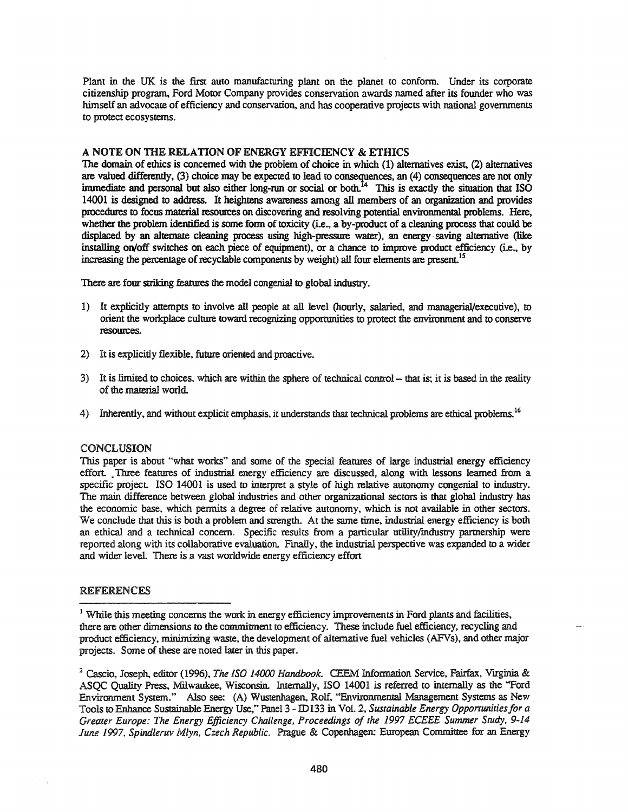Plant in the UK is the first auto manufacturing plant on the planet to conform. Under its corporate citizenship program, Ford Motor Company provides conservation awards named after its founder who was himself an advocate of efficiency and conservation. and has cooperative projects with national governments to protect ecosystems.

# A NOTE ON THE RELATION OF ENERGY EFFICIENCY & ETHICS

The domain of ethics is concerned with the problem of choice in which (1) alternatives exist. (2) alternatives are valued differently, (3) choice may be expected to lead to consequences, an (4) consequences are not only immediate and personal but also either long-run or social or both. $^{14}$  This is exactly the situation that ISO 14001 is designed to address. It heightens awareness among all members of an organization and provides procedures to focus material resources on discovering and resolving potential environmental problems. Here, whether the problem identified is some form of toxicity (i.e., a by-product of a cleaning process that could be displaced by an alternate cleaning process using high-pressure water), an energy saving alternative (like installing on/off switches on each piece of equipment), or a chance to improve product efficiency (i.e., by increasing the percentage of recyclable components by weight) all four elements are present.<sup>15</sup>

There are four striking features the model congenial to global industry.

- 1) It explicitly attempts to involve all people at all level (hourly, salaried, and managerial/executive), to orient the workplace culture toward recognizing opportunities to protect the environment and to conserve resources.
- 2) It is explicitly flexible, future oriented and proactive.
- 3) It is limited to choices, which are within the sphere of technical control that is; it is based in the reality of the material world.
- 4) Inherently, and without explicit emphasis, it understands that technical problems are ethical problems.<sup>16</sup>

# CONCLUSION

This paper is about "what works" and some of the special features of large industrial energy efficiency effort. Three features of industrial energy efficiency are discussed, along with lessons learned from a specific project. ISO 14001 is used to interpret a style of high relative autonomy congenial to industry. The main difference between global industries and other organizational sectors is that global industry has the economic base, which pennits a degree of relative autonomy, which is not available in other sectors. We conclude that this is both a problem and strength. At the same time, industrial energy efficiency is both an ethical and a technical concern. Specific results from a particular utility(mdustry partnership were reported along with its collaborative evaluation. Finally, the industrial perspective was expanded to a wider and wider level. There is a vast worldwide energy efficiency effort

# REFERENCES

<sup>1</sup> While this meeting concerns the work in energy efficiency improvements in Ford plants and facilities, there are other dimensions to the commitment to efficiency. These include fuel efficiency, recycling and product efficiency, minimizing waste, the development of alternative fuel vehicles (AFVs), and other major projects. Some of these are noted later in this paper.

<sup>2</sup> Cascio, Joseph, editor (1996), *The ISO 14000 Handbook.* CEEM Information Service, Fairfax, Vlfginia & ASQC Quality Press, Milwaukee, Wisconsin. Internally, ISO 14001 is referred to internally as the "Ford Environment System." Also see: (A) Wustenhagen, Rolf, "Environmental Management Systems as New Tools to Enhance Sustainable Energy Use," Panel 3 - ID133 in Vol. 2, Sustainable *Energy Opportunities for a Greater Europe: The Energy Efficiency Challenge, Proceedings 0/ the* 1997 *ECEEE Summer Study, 9-14 June* 1997. *Spindleruv Mlyn, Czech Republic.* Prague & Copenhagen: European Committee for an Energy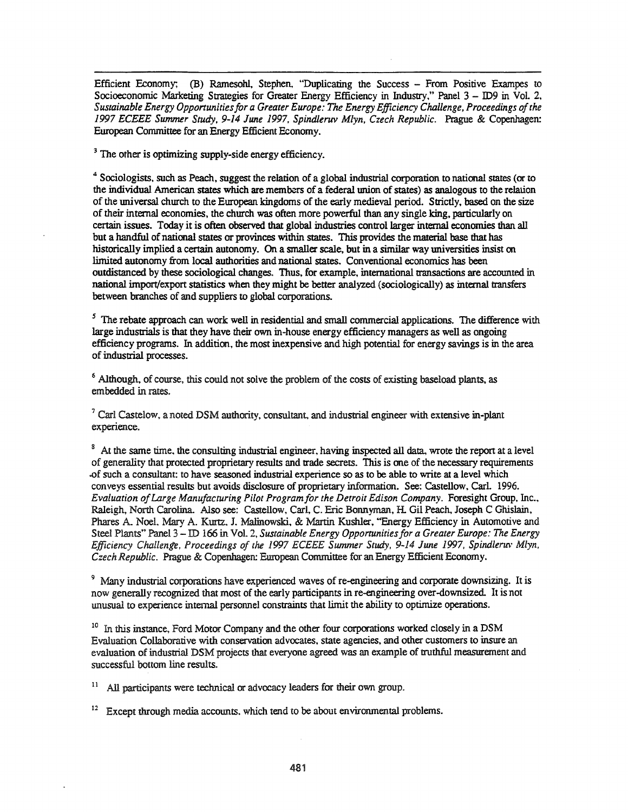Efficient Economy; (B) Ramesohl, Stephen, "Duplicating the Success - From Positive Exampes to Socioeconomic Marketing Strategies for Greater Energy Efficiency in Industry," Panel 3 - ID9 in Vol. 2, *Sustainable Energy Opportunitiesfor a Greater Europe: The Energy Efficiency Challenge, Proceedings ofthe 1997 ECEEE Summer Study.* 9-14 *June* 1997, *Spindleruv Mlyn. Czech Republic.* Prague & Copenhagen: European Committee for an Energy Efficient Economy.

<sup>3</sup> The other is optimizing supply-side energy efficiency.

<sup>4</sup> Sociologists, such as Peach, suggest the relation of a global industrial corporation to national states (or to the individual American states which are members of a federal union of states) as analogous to the relation of the universal church to the European kingdoms of the early medieval period. Strictly, based on the size oftheir internal economies, the church was often more powerful than any single king, particularly on certain issues. Today it is often observed that global industries control larger internal economies than all but a handful of national states or provinces within states. This provides the material base that has historically implied a certain autonomy. On a smaller scale, but in a similar way universities insist on limited autonomy from local authorities and national states. Conventional economics has been outdistanced by these sociological changes. Thus, for example, international transactions are accounted in national import/export statistics when they might be better analyzed (sociologically) as internal transfers between branches of and suppliers to global corporations.

 $<sup>5</sup>$  The rebate approach can work well in residential and small commercial applications. The difference with</sup> large industrials is that they have their own in-house energy efficiency managers as well as ongoing efficiency programs. In addition, the most inexpensive and high potential for energy savings is in the area of industrial processes.

<sup>6</sup> Although, of course, this could not solve the problem of the costs of existing baseload plants, as embedded in rates.

 $<sup>7</sup>$  Carl Castelow, a noted DSM authority, consultant, and industrial engineer with extensive in-plant</sup> experience.

<sup>8</sup> At the same time, the consulting industrial engineer, having inspected all data, wrote the report at a level of generality that protected proprietary results and trade secrets. This is one of the necessary requirements .ofsuch a consultant: to have seasoned industrial experience so as to be able to write at a level which conveys essential results but avoids disclosure of proprietary information. See: Castellow. Carl. 1996. *Evaluation ofLarge Manufacturing Pilot Programfor the Detroit Edison Company.* Foresight Group, Inc., Raleigh, North Carolina. Also see: Castellow, Carl, C. Eric Bonnyman, H. Gil Peach, Joseph C Ghislain, Phares A. Noel. Mary A. Kurtz. J. Malinowski, & Martin Kushler, "Energy Efficiency in Automotive and Steel Plants" Panel 3 - ID 166 in VoL 2, *Sustainable Energy Opportunitiesfor a Greater Europe: The Energy Efficiency Challeng'e. Proceedings of the* 1997 *ECEEE Summer Study.* 9-14 *June* 1997. *Spindlerm' Mlyn. Czech Republic.* Prague & Copenhagen: European Committee for an Energy Efficient Economy.

<sup>9</sup> Many industrial corporations have experienced waves of re-engineering and corporate downsizing. It is now generally recognized that most of the early participants in re-engineering over-downsized. It is not unusual to experience internal personnel constraints that limit the ability to optimize operations.

 $10<sup>10</sup>$  In this instance. Ford Motor Company and the other four corporations worked closely in a DSM Evaluation Collaborative with conservation advocates, state agencies, and other customers to insure an evaluation of industrial DSM projects that everyone agreed was an example of truthful measurement and successful bottom line results.

 $11$  All participants were technical or advocacy leaders for their own group.

 $12$  Except through media accounts, which tend to be about environmental problems.